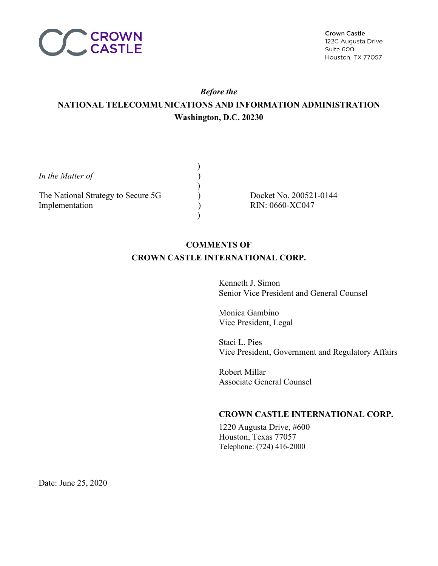

# *Before the* **NATIONAL TELECOMMUNICATIONS AND INFORMATION ADMINISTRATION Washington, D.C. 20230**

*In the Matter of*  $\qquad \qquad$ )

The National Strategy to Secure 5G  $Docket No. 200521-0144$ Implementation (a) RIN: 0660-XC047

 $)$ 

 $)$ 

 $)$ 

# **COMMENTS OF CROWN CASTLE INTERNATIONAL CORP.**

Kenneth J. Simon Senior Vice President and General Counsel

Monica Gambino Vice President, Legal

Staci L. Pies Vice President, Government and Regulatory Affairs

Robert Millar Associate General Counsel

## **CROWN CASTLE INTERNATIONAL CORP.**

1220 Augusta Drive, #600 Houston, Texas 77057 Telephone: (724) 416-2000

Date: June 25, 2020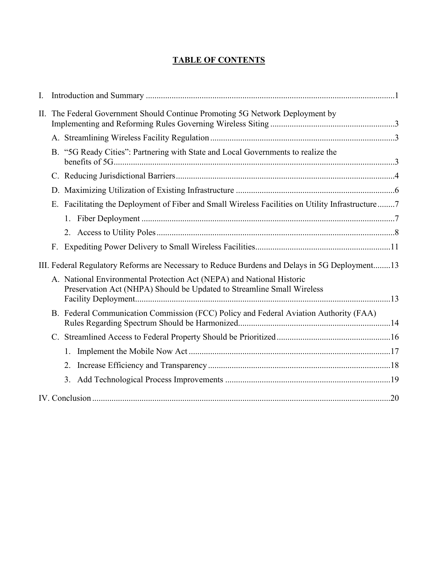## **TABLE OF CONTENTS**

| I. |                                                                                                |                                                                                                                                                 |  |
|----|------------------------------------------------------------------------------------------------|-------------------------------------------------------------------------------------------------------------------------------------------------|--|
| П. | The Federal Government Should Continue Promoting 5G Network Deployment by                      |                                                                                                                                                 |  |
|    |                                                                                                |                                                                                                                                                 |  |
|    |                                                                                                | B. "5G Ready Cities": Partnering with State and Local Governments to realize the                                                                |  |
|    |                                                                                                |                                                                                                                                                 |  |
|    |                                                                                                |                                                                                                                                                 |  |
|    |                                                                                                | E. Facilitating the Deployment of Fiber and Small Wireless Facilities on Utility Infrastructure7                                                |  |
|    |                                                                                                |                                                                                                                                                 |  |
|    |                                                                                                |                                                                                                                                                 |  |
|    |                                                                                                |                                                                                                                                                 |  |
|    | III. Federal Regulatory Reforms are Necessary to Reduce Burdens and Delays in 5G Deployment 13 |                                                                                                                                                 |  |
|    |                                                                                                | A. National Environmental Protection Act (NEPA) and National Historic<br>Preservation Act (NHPA) Should be Updated to Streamline Small Wireless |  |
|    |                                                                                                |                                                                                                                                                 |  |
|    |                                                                                                | B. Federal Communication Commission (FCC) Policy and Federal Aviation Authority (FAA)                                                           |  |
|    |                                                                                                |                                                                                                                                                 |  |
|    |                                                                                                | 1.                                                                                                                                              |  |
|    |                                                                                                | 2.                                                                                                                                              |  |
|    |                                                                                                | 3.                                                                                                                                              |  |
|    |                                                                                                |                                                                                                                                                 |  |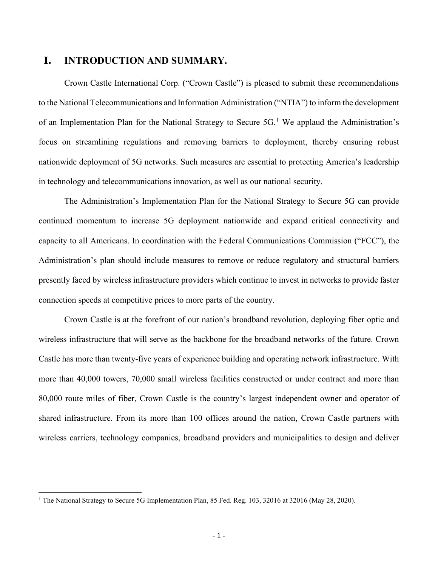## **I. INTRODUCTION AND SUMMARY.**

Crown Castle International Corp. ("Crown Castle") is pleased to submit these recommendations to the National Telecommunications and Information Administration ("NTIA") to inform the development of an Implementation Plan for the National Strategy to Secure  $5G<sup>1</sup>$  $5G<sup>1</sup>$  $5G<sup>1</sup>$  We applaud the Administration's focus on streamlining regulations and removing barriers to deployment, thereby ensuring robust nationwide deployment of 5G networks. Such measures are essential to protecting America's leadership in technology and telecommunications innovation, as well as our national security.

The Administration's Implementation Plan for the National Strategy to Secure 5G can provide continued momentum to increase 5G deployment nationwide and expand critical connectivity and capacity to all Americans. In coordination with the Federal Communications Commission ("FCC"), the Administration's plan should include measures to remove or reduce regulatory and structural barriers presently faced by wireless infrastructure providers which continue to invest in networks to provide faster connection speeds at competitive prices to more parts of the country.

Crown Castle is at the forefront of our nation's broadband revolution, deploying fiber optic and wireless infrastructure that will serve as the backbone for the broadband networks of the future. Crown Castle has more than twenty-five years of experience building and operating network infrastructure. With more than 40,000 towers, 70,000 small wireless facilities constructed or under contract and more than 80,000 route miles of fiber, Crown Castle is the country's largest independent owner and operator of shared infrastructure. From its more than 100 offices around the nation, Crown Castle partners with wireless carriers, technology companies, broadband providers and municipalities to design and deliver

<span id="page-2-0"></span><sup>&</sup>lt;sup>1</sup> The National Strategy to Secure 5G Implementation Plan, 85 Fed. Reg. 103, 32016 at 32016 (May 28, 2020).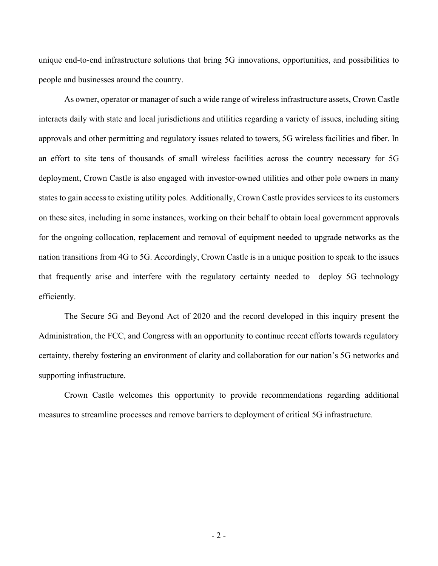unique end-to-end infrastructure solutions that bring 5G innovations, opportunities, and possibilities to people and businesses around the country.

As owner, operator or manager of such a wide range of wireless infrastructure assets, Crown Castle interacts daily with state and local jurisdictions and utilities regarding a variety of issues, including siting approvals and other permitting and regulatory issues related to towers, 5G wireless facilities and fiber. In an effort to site tens of thousands of small wireless facilities across the country necessary for 5G deployment, Crown Castle is also engaged with investor-owned utilities and other pole owners in many states to gain access to existing utility poles. Additionally, Crown Castle provides services to its customers on these sites, including in some instances, working on their behalf to obtain local government approvals for the ongoing collocation, replacement and removal of equipment needed to upgrade networks as the nation transitions from 4G to 5G. Accordingly, Crown Castle is in a unique position to speak to the issues that frequently arise and interfere with the regulatory certainty needed to deploy 5G technology efficiently.

The Secure 5G and Beyond Act of 2020 and the record developed in this inquiry present the Administration, the FCC, and Congress with an opportunity to continue recent efforts towards regulatory certainty, thereby fostering an environment of clarity and collaboration for our nation's 5G networks and supporting infrastructure.

Crown Castle welcomes this opportunity to provide recommendations regarding additional measures to streamline processes and remove barriers to deployment of critical 5G infrastructure.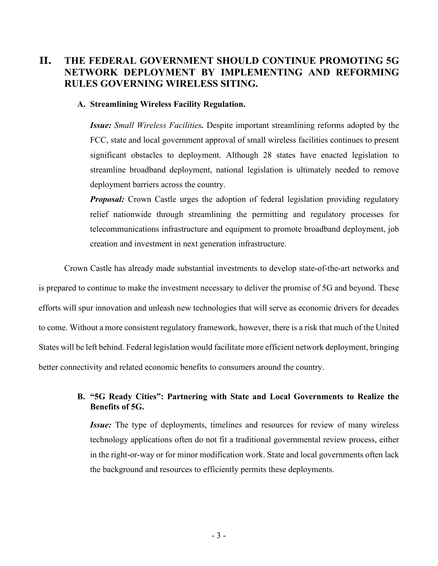# **II. THE FEDERAL GOVERNMENT SHOULD CONTINUE PROMOTING 5G NETWORK DEPLOYMENT BY IMPLEMENTING AND REFORMING RULES GOVERNING WIRELESS SITING.**

#### **A. Streamlining Wireless Facility Regulation.**

*Issue: Small Wireless Facilities.* Despite important streamlining reforms adopted by the FCC, state and local government approval of small wireless facilities continues to present significant obstacles to deployment. Although 28 states have enacted legislation to streamline broadband deployment, national legislation is ultimately needed to remove deployment barriers across the country.

*Proposal:* Crown Castle urges the adoption of federal legislation providing regulatory relief nationwide through streamlining the permitting and regulatory processes for telecommunications infrastructure and equipment to promote broadband deployment, job creation and investment in next generation infrastructure.

Crown Castle has already made substantial investments to develop state-of-the-art networks and is prepared to continue to make the investment necessary to deliver the promise of 5G and beyond. These efforts will spur innovation and unleash new technologies that will serve as economic drivers for decades to come. Without a more consistent regulatory framework, however, there is a risk that much of the United States will be left behind. Federal legislation would facilitate more efficient network deployment, bringing better connectivity and related economic benefits to consumers around the country.

## **B. "5G Ready Cities": Partnering with State and Local Governments to Realize the Benefits of 5G.**

*Issue:* The type of deployments, timelines and resources for review of many wireless technology applications often do not fit a traditional governmental review process, either in the right-or-way or for minor modification work. State and local governments often lack the background and resources to efficiently permits these deployments.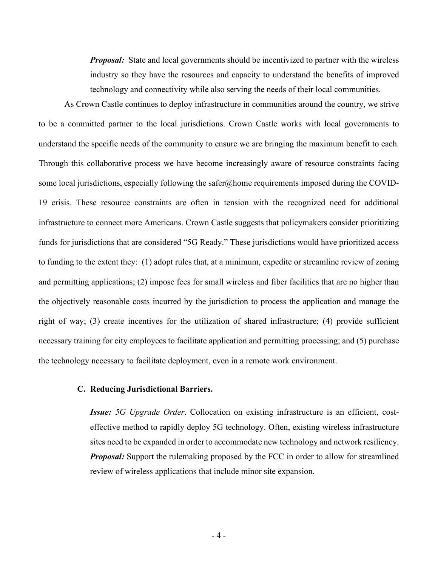*Proposal:* State and local governments should be incentivized to partner with the wireless industry so they have the resources and capacity to understand the benefits of improved technology and connectivity while also serving the needs of their local communities.

As Crown Castle continues to deploy infrastructure in communities around the country, we strive to be a committed partner to the local jurisdictions. Crown Castle works with local governments to understand the specific needs of the community to ensure we are bringing the maximum benefit to each. Through this collaborative process we have become increasingly aware of resource constraints facing some local jurisdictions, especially following the safer@home requirements imposed during the COVID-19 crisis. These resource constraints are often in tension with the recognized need for additional infrastructure to connect more Americans. Crown Castle suggests that policymakers consider prioritizing funds for jurisdictions that are considered "5G Ready." These jurisdictions would have prioritized access to funding to the extent they: (1) adopt rules that, at a minimum, expedite or streamline review of zoning and permitting applications; (2) impose fees for small wireless and fiber facilities that are no higher than the objectively reasonable costs incurred by the jurisdiction to process the application and manage the right of way; (3) create incentives for the utilization of shared infrastructure; (4) provide sufficient necessary training for city employees to facilitate application and permitting processing; and (5) purchase the technology necessary to facilitate deployment, even in a remote work environment.

## **C. Reducing Jurisdictional Barriers.**

*Issue: 5G Upgrade Order*. Collocation on existing infrastructure is an efficient, costeffective method to rapidly deploy 5G technology. Often, existing wireless infrastructure sites need to be expanded in order to accommodate new technology and network resiliency. *Proposal:* Support the rulemaking proposed by the FCC in order to allow for streamlined review of wireless applications that include minor site expansion.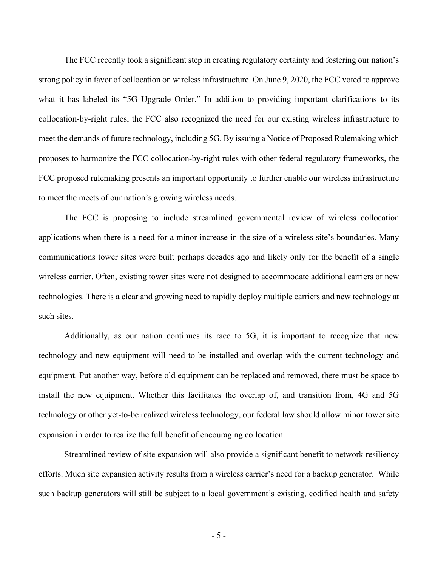The FCC recently took a significant step in creating regulatory certainty and fostering our nation's strong policy in favor of collocation on wireless infrastructure. On June 9, 2020, the FCC voted to approve what it has labeled its "5G Upgrade Order." In addition to providing important clarifications to its collocation-by-right rules, the FCC also recognized the need for our existing wireless infrastructure to meet the demands of future technology, including 5G. By issuing a Notice of Proposed Rulemaking which proposes to harmonize the FCC collocation-by-right rules with other federal regulatory frameworks, the FCC proposed rulemaking presents an important opportunity to further enable our wireless infrastructure to meet the meets of our nation's growing wireless needs.

The FCC is proposing to include streamlined governmental review of wireless collocation applications when there is a need for a minor increase in the size of a wireless site's boundaries. Many communications tower sites were built perhaps decades ago and likely only for the benefit of a single wireless carrier. Often, existing tower sites were not designed to accommodate additional carriers or new technologies. There is a clear and growing need to rapidly deploy multiple carriers and new technology at such sites.

Additionally, as our nation continues its race to 5G, it is important to recognize that new technology and new equipment will need to be installed and overlap with the current technology and equipment. Put another way, before old equipment can be replaced and removed, there must be space to install the new equipment. Whether this facilitates the overlap of, and transition from, 4G and 5G technology or other yet-to-be realized wireless technology, our federal law should allow minor tower site expansion in order to realize the full benefit of encouraging collocation.

Streamlined review of site expansion will also provide a significant benefit to network resiliency efforts. Much site expansion activity results from a wireless carrier's need for a backup generator. While such backup generators will still be subject to a local government's existing, codified health and safety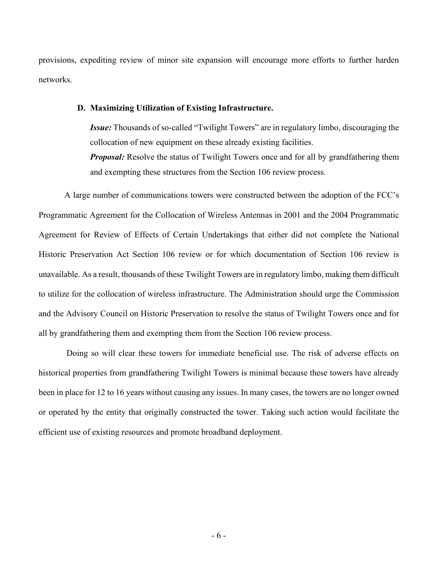provisions, expediting review of minor site expansion will encourage more efforts to further harden networks.

#### **D. Maximizing Utilization of Existing Infrastructure.**

*Issue:* Thousands of so-called "Twilight Towers" are in regulatory limbo, discouraging the collocation of new equipment on these already existing facilities. *Proposal:* Resolve the status of Twilight Towers once and for all by grandfathering them

A large number of communications towers were constructed between the adoption of the FCC's Programmatic Agreement for the Collocation of Wireless Antennas in 2001 and the 2004 Programmatic Agreement for Review of Effects of Certain Undertakings that either did not complete the National Historic Preservation Act Section 106 review or for which documentation of Section 106 review is unavailable. As a result, thousands of these Twilight Towers are in regulatory limbo, making them difficult to utilize for the collocation of wireless infrastructure. The Administration should urge the Commission and the Advisory Council on Historic Preservation to resolve the status of Twilight Towers once and for all by grandfathering them and exempting them from the Section 106 review process.

and exempting these structures from the Section 106 review process.

Doing so will clear these towers for immediate beneficial use. The risk of adverse effects on historical properties from grandfathering Twilight Towers is minimal because these towers have already been in place for 12 to 16 years without causing any issues. In many cases, the towers are no longer owned or operated by the entity that originally constructed the tower. Taking such action would facilitate the efficient use of existing resources and promote broadband deployment.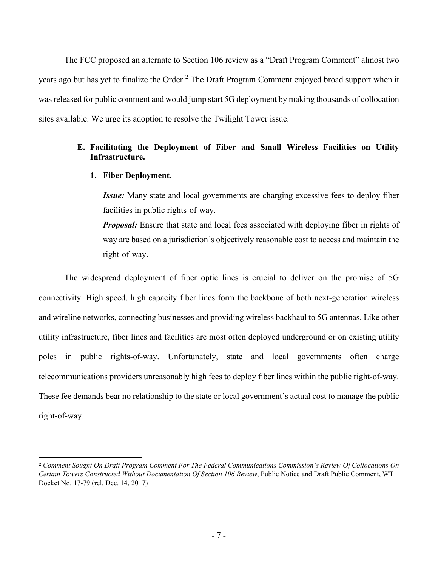The FCC proposed an alternate to Section 106 review as a "Draft Program Comment" almost two years ago but has yet to finalize the Order.<sup>[2](#page-8-0)</sup> The Draft Program Comment enjoyed broad support when it was released for public comment and would jump start 5G deployment by making thousands of collocation sites available. We urge its adoption to resolve the Twilight Tower issue.

## **E. Facilitating the Deployment of Fiber and Small Wireless Facilities on Utility Infrastructure.**

## **1. Fiber Deployment.**

*Issue:* Many state and local governments are charging excessive fees to deploy fiber facilities in public rights-of-way.

*Proposal:* Ensure that state and local fees associated with deploying fiber in rights of way are based on a jurisdiction's objectively reasonable cost to access and maintain the right-of-way.

The widespread deployment of fiber optic lines is crucial to deliver on the promise of 5G connectivity. High speed, high capacity fiber lines form the backbone of both next-generation wireless and wireline networks, connecting businesses and providing wireless backhaul to 5G antennas. Like other utility infrastructure, fiber lines and facilities are most often deployed underground or on existing utility poles in public rights-of-way. Unfortunately, state and local governments often charge telecommunications providers unreasonably high fees to deploy fiber lines within the public right-of-way. These fee demands bear no relationship to the state or local government's actual cost to manage the public right-of-way.

<span id="page-8-0"></span><sup>2</sup> *Comment Sought On Draft Program Comment For The Federal Communications Commission's Review Of Collocations On Certain Towers Constructed Without Documentation Of Section 106 Review*, Public Notice and Draft Public Comment, WT Docket No. 17-79 (rel. Dec. 14, 2017)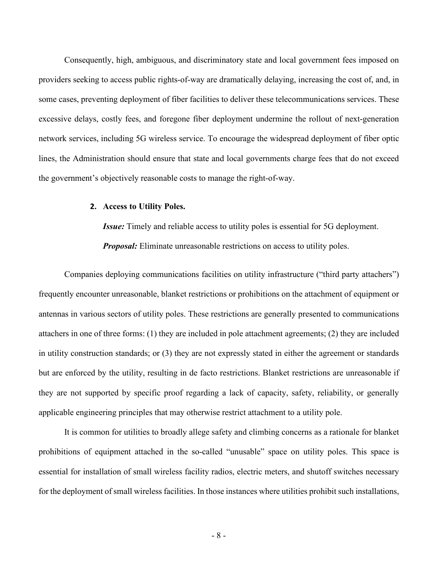Consequently, high, ambiguous, and discriminatory state and local government fees imposed on providers seeking to access public rights-of-way are dramatically delaying, increasing the cost of, and, in some cases, preventing deployment of fiber facilities to deliver these telecommunications services. These excessive delays, costly fees, and foregone fiber deployment undermine the rollout of next-generation network services, including 5G wireless service. To encourage the widespread deployment of fiber optic lines, the Administration should ensure that state and local governments charge fees that do not exceed the government's objectively reasonable costs to manage the right-of-way.

#### **2. Access to Utility Poles.**

*Issue:* Timely and reliable access to utility poles is essential for 5G deployment.

*Proposal:* Eliminate unreasonable restrictions on access to utility poles.

Companies deploying communications facilities on utility infrastructure ("third party attachers") frequently encounter unreasonable, blanket restrictions or prohibitions on the attachment of equipment or antennas in various sectors of utility poles. These restrictions are generally presented to communications attachers in one of three forms: (1) they are included in pole attachment agreements; (2) they are included in utility construction standards; or (3) they are not expressly stated in either the agreement or standards but are enforced by the utility, resulting in de facto restrictions. Blanket restrictions are unreasonable if they are not supported by specific proof regarding a lack of capacity, safety, reliability, or generally applicable engineering principles that may otherwise restrict attachment to a utility pole.

It is common for utilities to broadly allege safety and climbing concerns as a rationale for blanket prohibitions of equipment attached in the so-called "unusable" space on utility poles. This space is essential for installation of small wireless facility radios, electric meters, and shutoff switches necessary for the deployment of small wireless facilities. In those instances where utilities prohibit such installations,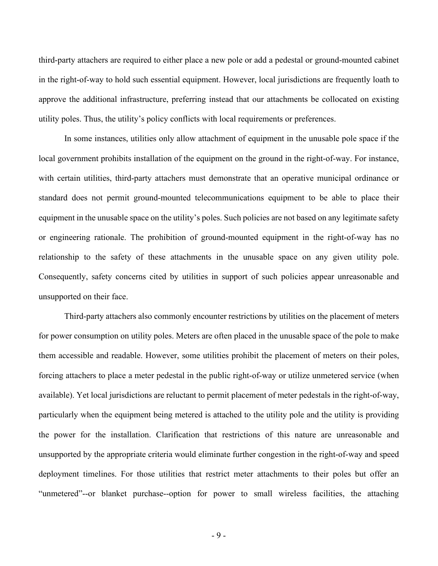third-party attachers are required to either place a new pole or add a pedestal or ground-mounted cabinet in the right-of-way to hold such essential equipment. However, local jurisdictions are frequently loath to approve the additional infrastructure, preferring instead that our attachments be collocated on existing utility poles. Thus, the utility's policy conflicts with local requirements or preferences.

In some instances, utilities only allow attachment of equipment in the unusable pole space if the local government prohibits installation of the equipment on the ground in the right-of-way. For instance, with certain utilities, third-party attachers must demonstrate that an operative municipal ordinance or standard does not permit ground-mounted telecommunications equipment to be able to place their equipment in the unusable space on the utility's poles. Such policies are not based on any legitimate safety or engineering rationale. The prohibition of ground-mounted equipment in the right-of-way has no relationship to the safety of these attachments in the unusable space on any given utility pole. Consequently, safety concerns cited by utilities in support of such policies appear unreasonable and unsupported on their face.

Third-party attachers also commonly encounter restrictions by utilities on the placement of meters for power consumption on utility poles. Meters are often placed in the unusable space of the pole to make them accessible and readable. However, some utilities prohibit the placement of meters on their poles, forcing attachers to place a meter pedestal in the public right-of-way or utilize unmetered service (when available). Yet local jurisdictions are reluctant to permit placement of meter pedestals in the right-of-way, particularly when the equipment being metered is attached to the utility pole and the utility is providing the power for the installation. Clarification that restrictions of this nature are unreasonable and unsupported by the appropriate criteria would eliminate further congestion in the right-of-way and speed deployment timelines. For those utilities that restrict meter attachments to their poles but offer an "unmetered"--or blanket purchase--option for power to small wireless facilities, the attaching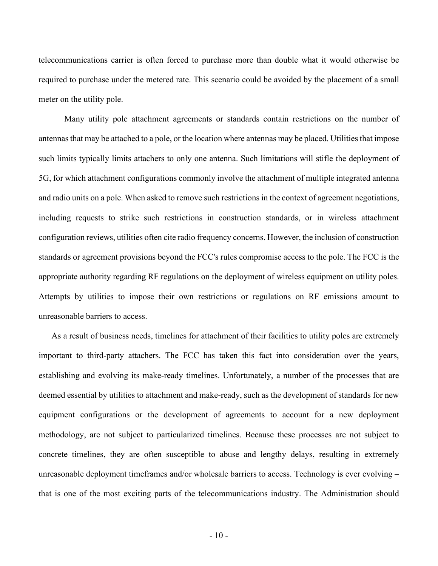telecommunications carrier is often forced to purchase more than double what it would otherwise be required to purchase under the metered rate. This scenario could be avoided by the placement of a small meter on the utility pole.

Many utility pole attachment agreements or standards contain restrictions on the number of antennas that may be attached to a pole, or the location where antennas may be placed. Utilities that impose such limits typically limits attachers to only one antenna. Such limitations will stifle the deployment of 5G, for which attachment configurations commonly involve the attachment of multiple integrated antenna and radio units on a pole. When asked to remove such restrictions in the context of agreement negotiations, including requests to strike such restrictions in construction standards, or in wireless attachment configuration reviews, utilities often cite radio frequency concerns. However, the inclusion of construction standards or agreement provisions beyond the FCC's rules compromise access to the pole. The FCC is the appropriate authority regarding RF regulations on the deployment of wireless equipment on utility poles. Attempts by utilities to impose their own restrictions or regulations on RF emissions amount to unreasonable barriers to access.

As a result of business needs, timelines for attachment of their facilities to utility poles are extremely important to third-party attachers. The FCC has taken this fact into consideration over the years, establishing and evolving its make-ready timelines. Unfortunately, a number of the processes that are deemed essential by utilities to attachment and make-ready, such as the development of standards for new equipment configurations or the development of agreements to account for a new deployment methodology, are not subject to particularized timelines. Because these processes are not subject to concrete timelines, they are often susceptible to abuse and lengthy delays, resulting in extremely unreasonable deployment timeframes and/or wholesale barriers to access. Technology is ever evolving – that is one of the most exciting parts of the telecommunications industry. The Administration should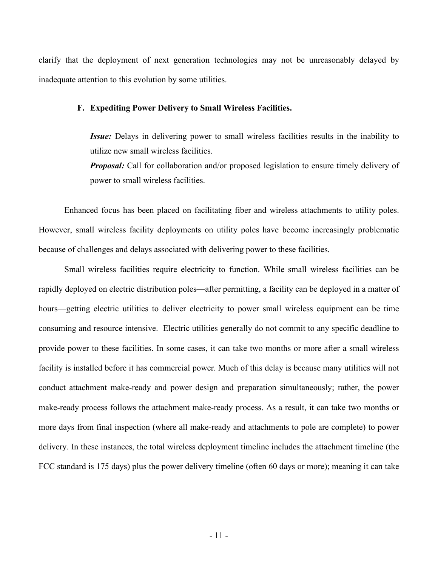clarify that the deployment of next generation technologies may not be unreasonably delayed by inadequate attention to this evolution by some utilities.

#### **F. Expediting Power Delivery to Small Wireless Facilities.**

*Issue:* Delays in delivering power to small wireless facilities results in the inability to utilize new small wireless facilities.

*Proposal:* Call for collaboration and/or proposed legislation to ensure timely delivery of power to small wireless facilities.

Enhanced focus has been placed on facilitating fiber and wireless attachments to utility poles. However, small wireless facility deployments on utility poles have become increasingly problematic because of challenges and delays associated with delivering power to these facilities.

Small wireless facilities require electricity to function. While small wireless facilities can be rapidly deployed on electric distribution poles—after permitting, a facility can be deployed in a matter of hours—getting electric utilities to deliver electricity to power small wireless equipment can be time consuming and resource intensive. Electric utilities generally do not commit to any specific deadline to provide power to these facilities. In some cases, it can take two months or more after a small wireless facility is installed before it has commercial power. Much of this delay is because many utilities will not conduct attachment make-ready and power design and preparation simultaneously; rather, the power make-ready process follows the attachment make-ready process. As a result, it can take two months or more days from final inspection (where all make-ready and attachments to pole are complete) to power delivery. In these instances, the total wireless deployment timeline includes the attachment timeline (the FCC standard is 175 days) plus the power delivery timeline (often 60 days or more); meaning it can take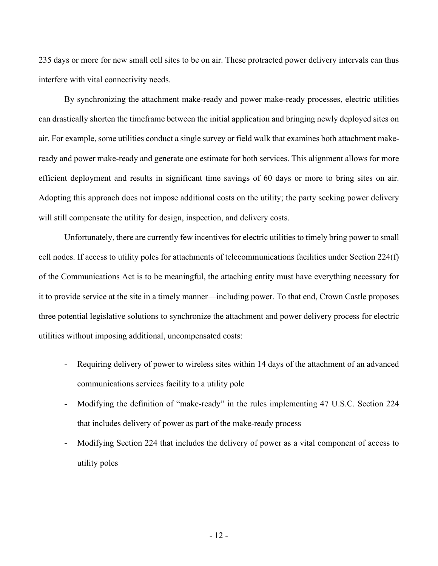235 days or more for new small cell sites to be on air. These protracted power delivery intervals can thus interfere with vital connectivity needs.

By synchronizing the attachment make-ready and power make-ready processes, electric utilities can drastically shorten the timeframe between the initial application and bringing newly deployed sites on air. For example, some utilities conduct a single survey or field walk that examines both attachment makeready and power make-ready and generate one estimate for both services. This alignment allows for more efficient deployment and results in significant time savings of 60 days or more to bring sites on air. Adopting this approach does not impose additional costs on the utility; the party seeking power delivery will still compensate the utility for design, inspection, and delivery costs.

Unfortunately, there are currently few incentives for electric utilities to timely bring power to small cell nodes. If access to utility poles for attachments of telecommunications facilities under Section 224(f) of the Communications Act is to be meaningful, the attaching entity must have everything necessary for it to provide service at the site in a timely manner—including power. To that end, Crown Castle proposes three potential legislative solutions to synchronize the attachment and power delivery process for electric utilities without imposing additional, uncompensated costs:

- Requiring delivery of power to wireless sites within 14 days of the attachment of an advanced communications services facility to a utility pole
- Modifying the definition of "make-ready" in the rules implementing 47 U.S.C. Section 224 that includes delivery of power as part of the make-ready process
- Modifying Section 224 that includes the delivery of power as a vital component of access to utility poles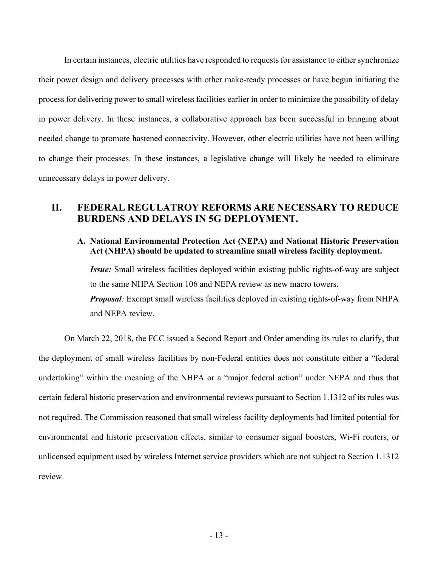In certain instances, electric utilities have responded to requests for assistance to either synchronize their power design and delivery processes with other make-ready processes or have begun initiating the process for delivering power to small wireless facilities earlier in order to minimize the possibility of delay in power delivery. In these instances, a collaborative approach has been successful in bringing about needed change to promote hastened connectivity. However, other electric utilities have not been willing to change their processes. In these instances, a legislative change will likely be needed to eliminate unnecessary delays in power delivery.

## **II. FEDERAL REGULATROY REFORMS ARE NECESSARY TO REDUCE BURDENS AND DELAYS IN 5G DEPLOYMENT.**

## **A. National Environmental Protection Act (NEPA) and National Historic Preservation Act (NHPA) should be updated to streamline small wireless facility deployment.**

*Issue:* Small wireless facilities deployed within existing public rights-of-way are subject to the same NHPA Section 106 and NEPA review as new macro towers. *Proposal*: Exempt small wireless facilities deployed in existing rights-of-way from NHPA

and NEPA review.

On March 22, 2018, the FCC issued a Second Report and Order amending its rules to clarify, that the deployment of small wireless facilities by non-Federal entities does not constitute either a "federal undertaking" within the meaning of the NHPA or a "major federal action" under NEPA and thus that certain federal historic preservation and environmental reviews pursuant to Section 1.1312 of its rules was not required. The Commission reasoned that small wireless facility deployments had limited potential for environmental and historic preservation effects, similar to consumer signal boosters, Wi-Fi routers, or unlicensed equipment used by wireless Internet service providers which are not subject to Section 1.1312 review.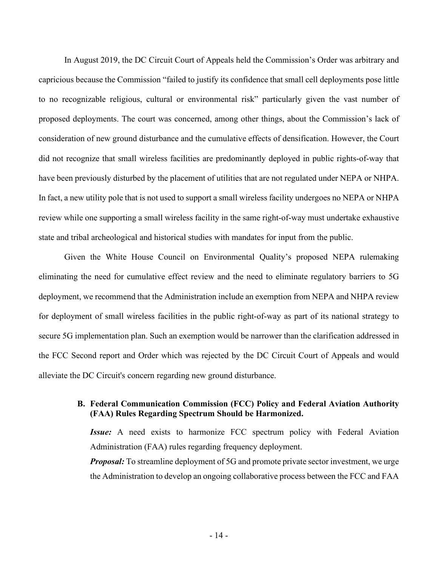In August 2019, the DC Circuit Court of Appeals held the Commission's Order was arbitrary and capricious because the Commission "failed to justify its confidence that small cell deployments pose little to no recognizable religious, cultural or environmental risk" particularly given the vast number of proposed deployments. The court was concerned, among other things, about the Commission's lack of consideration of new ground disturbance and the cumulative effects of densification. However, the Court did not recognize that small wireless facilities are predominantly deployed in public rights-of-way that have been previously disturbed by the placement of utilities that are not regulated under NEPA or NHPA. In fact, a new utility pole that is not used to support a small wireless facility undergoes no NEPA or NHPA review while one supporting a small wireless facility in the same right-of-way must undertake exhaustive state and tribal archeological and historical studies with mandates for input from the public.

Given the White House Council on Environmental Quality's proposed NEPA rulemaking eliminating the need for cumulative effect review and the need to eliminate regulatory barriers to 5G deployment, we recommend that the Administration include an exemption from NEPA and NHPA review for deployment of small wireless facilities in the public right-of-way as part of its national strategy to secure 5G implementation plan. Such an exemption would be narrower than the clarification addressed in the FCC Second report and Order which was rejected by the DC Circuit Court of Appeals and would alleviate the DC Circuit's concern regarding new ground disturbance.

## **B. Federal Communication Commission (FCC) Policy and Federal Aviation Authority (FAA) Rules Regarding Spectrum Should be Harmonized.**

*Issue:* A need exists to harmonize FCC spectrum policy with Federal Aviation Administration (FAA) rules regarding frequency deployment. *Proposal:* To streamline deployment of 5G and promote private sector investment, we urge the Administration to develop an ongoing collaborative process between the FCC and FAA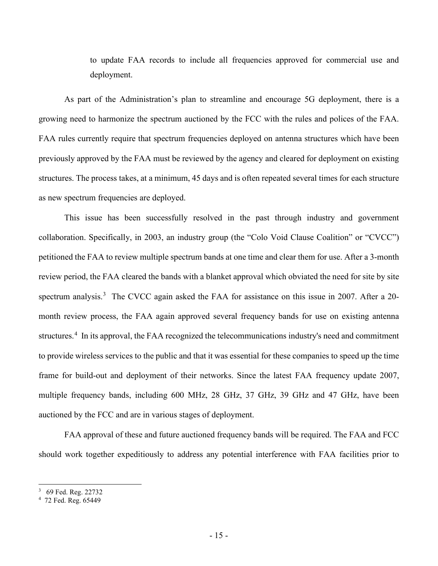to update FAA records to include all frequencies approved for commercial use and deployment.

As part of the Administration's plan to streamline and encourage 5G deployment, there is a growing need to harmonize the spectrum auctioned by the FCC with the rules and polices of the FAA. FAA rules currently require that spectrum frequencies deployed on antenna structures which have been previously approved by the FAA must be reviewed by the agency and cleared for deployment on existing structures. The process takes, at a minimum, 45 days and is often repeated several times for each structure as new spectrum frequencies are deployed.

This issue has been successfully resolved in the past through industry and government collaboration. Specifically, in 2003, an industry group (the "Colo Void Clause Coalition" or "CVCC") petitioned the FAA to review multiple spectrum bands at one time and clear them for use. After a 3-month review period, the FAA cleared the bands with a blanket approval which obviated the need for site by site spectrum analysis.<sup>[3](#page-16-0)</sup> The CVCC again asked the FAA for assistance on this issue in 2007. After a 20month review process, the FAA again approved several frequency bands for use on existing antenna structures.<sup>[4](#page-16-1)</sup> In its approval, the FAA recognized the telecommunications industry's need and commitment to provide wireless services to the public and that it was essential for these companies to speed up the time frame for build-out and deployment of their networks. Since the latest FAA frequency update 2007, multiple frequency bands, including 600 MHz, 28 GHz, 37 GHz, 39 GHz and 47 GHz, have been auctioned by the FCC and are in various stages of deployment.

FAA approval of these and future auctioned frequency bands will be required. The FAA and FCC should work together expeditiously to address any potential interference with FAA facilities prior to

<span id="page-16-1"></span><span id="page-16-0"></span>

<sup>3</sup> 69 Fed. Reg. 22732 4 72 Fed. Reg. 65449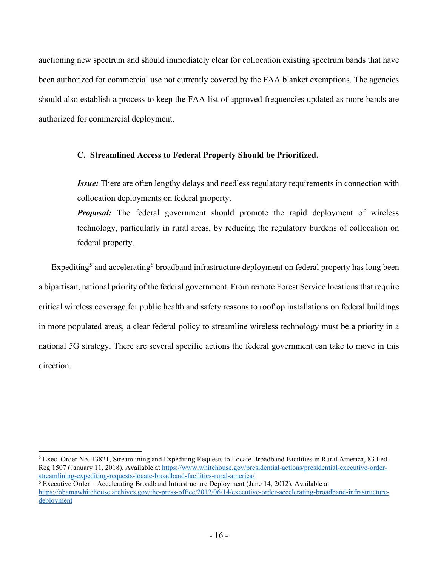auctioning new spectrum and should immediately clear for collocation existing spectrum bands that have been authorized for commercial use not currently covered by the FAA blanket exemptions. The agencies should also establish a process to keep the FAA list of approved frequencies updated as more bands are authorized for commercial deployment.

## **C. Streamlined Access to Federal Property Should be Prioritized.**

*Issue:* There are often lengthy delays and needless regulatory requirements in connection with collocation deployments on federal property.

*Proposal:* The federal government should promote the rapid deployment of wireless technology, particularly in rural areas, by reducing the regulatory burdens of collocation on federal property.

Expediting<sup>[5](#page-17-0)</sup> and accelerating<sup>[6](#page-17-1)</sup> broadband infrastructure deployment on federal property has long been a bipartisan, national priority of the federal government. From remote Forest Service locations that require critical wireless coverage for public health and safety reasons to rooftop installations on federal buildings in more populated areas, a clear federal policy to streamline wireless technology must be a priority in a national 5G strategy. There are several specific actions the federal government can take to move in this direction.

<span id="page-17-0"></span><sup>5</sup> Exec. Order No. 13821, Streamlining and Expediting Requests to Locate Broadband Facilities in Rural America, 83 Fed. Reg 1507 (January 11, 2018). Available at [https://www.whitehouse.gov/presidential-actions/presidential-executive-order](https://www.whitehouse.gov/presidential-actions/presidential-executive-order-streamlining-expediting-requests-locate-broadband-facilities-rural-america/)[streamlining-expediting-requests-locate-broadband-facilities-rural-america/](https://www.whitehouse.gov/presidential-actions/presidential-executive-order-streamlining-expediting-requests-locate-broadband-facilities-rural-america/)

<span id="page-17-1"></span> $\overline{6}$  Executive Order – Accelerating Broadband Infrastructure Deployment (June 14, 2012). Available at [https://obamawhitehouse.archives.gov/the-press-office/2012/06/14/executive-order-accelerating-broadband-infrastructure](https://obamawhitehouse.archives.gov/the-press-office/2012/06/14/executive-order-accelerating-broadband-infrastructure-deployment)[deployment](https://obamawhitehouse.archives.gov/the-press-office/2012/06/14/executive-order-accelerating-broadband-infrastructure-deployment)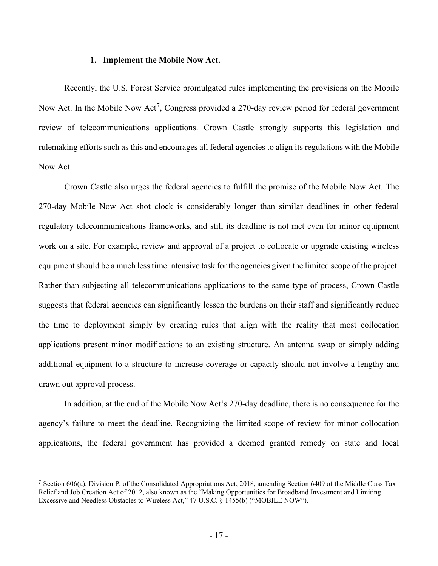#### **1. Implement the Mobile Now Act.**

Recently, the U.S. Forest Service promulgated rules implementing the provisions on the Mobile Now Act. In the Mobile Now Act<sup>[7](#page-18-0)</sup>, Congress provided a 270-day review period for federal government review of telecommunications applications. Crown Castle strongly supports this legislation and rulemaking efforts such as this and encourages all federal agencies to align its regulations with the Mobile Now Act.

Crown Castle also urges the federal agencies to fulfill the promise of the Mobile Now Act. The 270-day Mobile Now Act shot clock is considerably longer than similar deadlines in other federal regulatory telecommunications frameworks, and still its deadline is not met even for minor equipment work on a site. For example, review and approval of a project to collocate or upgrade existing wireless equipment should be a much less time intensive task for the agencies given the limited scope of the project. Rather than subjecting all telecommunications applications to the same type of process, Crown Castle suggests that federal agencies can significantly lessen the burdens on their staff and significantly reduce the time to deployment simply by creating rules that align with the reality that most collocation applications present minor modifications to an existing structure. An antenna swap or simply adding additional equipment to a structure to increase coverage or capacity should not involve a lengthy and drawn out approval process.

In addition, at the end of the Mobile Now Act's 270-day deadline, there is no consequence for the agency's failure to meet the deadline. Recognizing the limited scope of review for minor collocation applications, the federal government has provided a deemed granted remedy on state and local

<span id="page-18-0"></span><sup>7</sup> Section 606(a), Division P, of the Consolidated Appropriations Act, 2018, amending Section 6409 of the Middle Class Tax Relief and Job Creation Act of 2012, also known as the "Making Opportunities for Broadband Investment and Limiting Excessive and Needless Obstacles to Wireless Act," 47 U.S.C. § 1455(b) ("MOBILE NOW").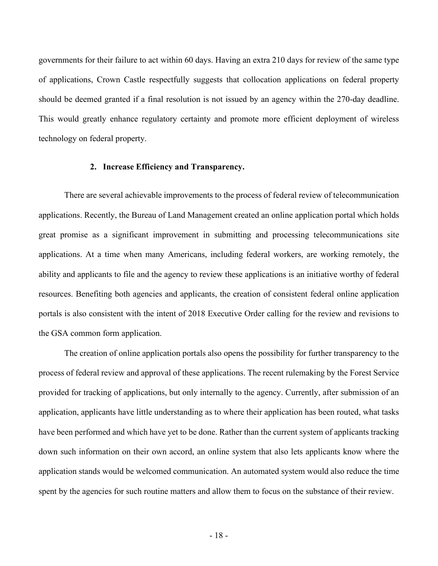governments for their failure to act within 60 days. Having an extra 210 days for review of the same type of applications, Crown Castle respectfully suggests that collocation applications on federal property should be deemed granted if a final resolution is not issued by an agency within the 270-day deadline. This would greatly enhance regulatory certainty and promote more efficient deployment of wireless technology on federal property.

#### **2. Increase Efficiency and Transparency.**

There are several achievable improvements to the process of federal review of telecommunication applications. Recently, the Bureau of Land Management created an online application portal which holds great promise as a significant improvement in submitting and processing telecommunications site applications. At a time when many Americans, including federal workers, are working remotely, the ability and applicants to file and the agency to review these applications is an initiative worthy of federal resources. Benefiting both agencies and applicants, the creation of consistent federal online application portals is also consistent with the intent of 2018 Executive Order calling for the review and revisions to the GSA common form application.

The creation of online application portals also opens the possibility for further transparency to the process of federal review and approval of these applications. The recent rulemaking by the Forest Service provided for tracking of applications, but only internally to the agency. Currently, after submission of an application, applicants have little understanding as to where their application has been routed, what tasks have been performed and which have yet to be done. Rather than the current system of applicants tracking down such information on their own accord, an online system that also lets applicants know where the application stands would be welcomed communication. An automated system would also reduce the time spent by the agencies for such routine matters and allow them to focus on the substance of their review.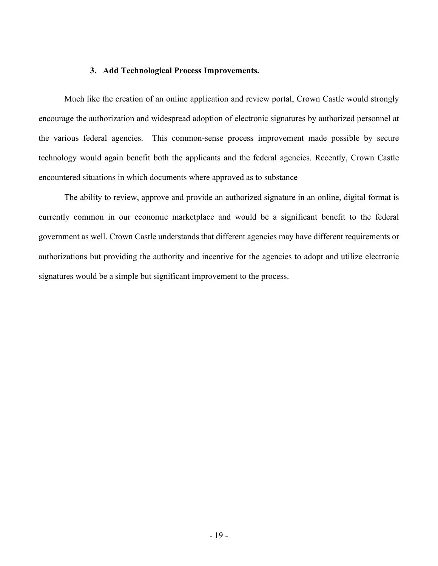## **3. Add Technological Process Improvements.**

Much like the creation of an online application and review portal, Crown Castle would strongly encourage the authorization and widespread adoption of electronic signatures by authorized personnel at the various federal agencies. This common-sense process improvement made possible by secure technology would again benefit both the applicants and the federal agencies. Recently, Crown Castle encountered situations in which documents where approved as to substance

The ability to review, approve and provide an authorized signature in an online, digital format is currently common in our economic marketplace and would be a significant benefit to the federal government as well. Crown Castle understands that different agencies may have different requirements or authorizations but providing the authority and incentive for the agencies to adopt and utilize electronic signatures would be a simple but significant improvement to the process.